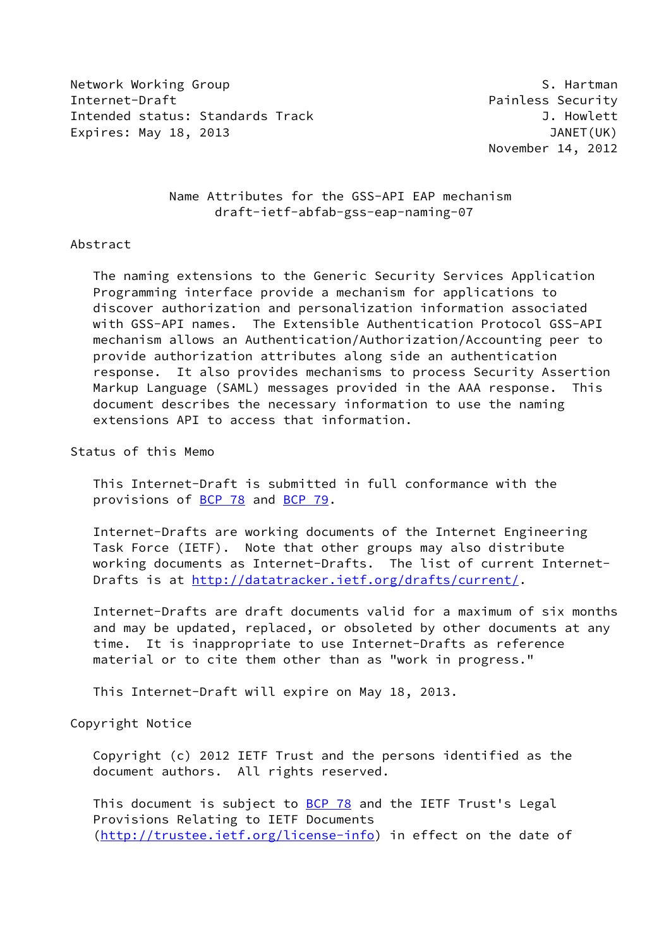Network Working Group S. Hartman S. Hartman Internet-Draft **Painless Security** Intended status: Standards Track J. Howlett Expires: May 18, 2013 **I.a. 2013** JANET(UK)

November 14, 2012

 Name Attributes for the GSS-API EAP mechanism draft-ietf-abfab-gss-eap-naming-07

### Abstract

 The naming extensions to the Generic Security Services Application Programming interface provide a mechanism for applications to discover authorization and personalization information associated with GSS-API names. The Extensible Authentication Protocol GSS-API mechanism allows an Authentication/Authorization/Accounting peer to provide authorization attributes along side an authentication response. It also provides mechanisms to process Security Assertion Markup Language (SAML) messages provided in the AAA response. This document describes the necessary information to use the naming extensions API to access that information.

Status of this Memo

 This Internet-Draft is submitted in full conformance with the provisions of [BCP 78](https://datatracker.ietf.org/doc/pdf/bcp78) and [BCP 79](https://datatracker.ietf.org/doc/pdf/bcp79).

 Internet-Drafts are working documents of the Internet Engineering Task Force (IETF). Note that other groups may also distribute working documents as Internet-Drafts. The list of current Internet- Drafts is at<http://datatracker.ietf.org/drafts/current/>.

 Internet-Drafts are draft documents valid for a maximum of six months and may be updated, replaced, or obsoleted by other documents at any time. It is inappropriate to use Internet-Drafts as reference material or to cite them other than as "work in progress."

This Internet-Draft will expire on May 18, 2013.

Copyright Notice

 Copyright (c) 2012 IETF Trust and the persons identified as the document authors. All rights reserved.

This document is subject to **[BCP 78](https://datatracker.ietf.org/doc/pdf/bcp78)** and the IETF Trust's Legal Provisions Relating to IETF Documents [\(http://trustee.ietf.org/license-info](http://trustee.ietf.org/license-info)) in effect on the date of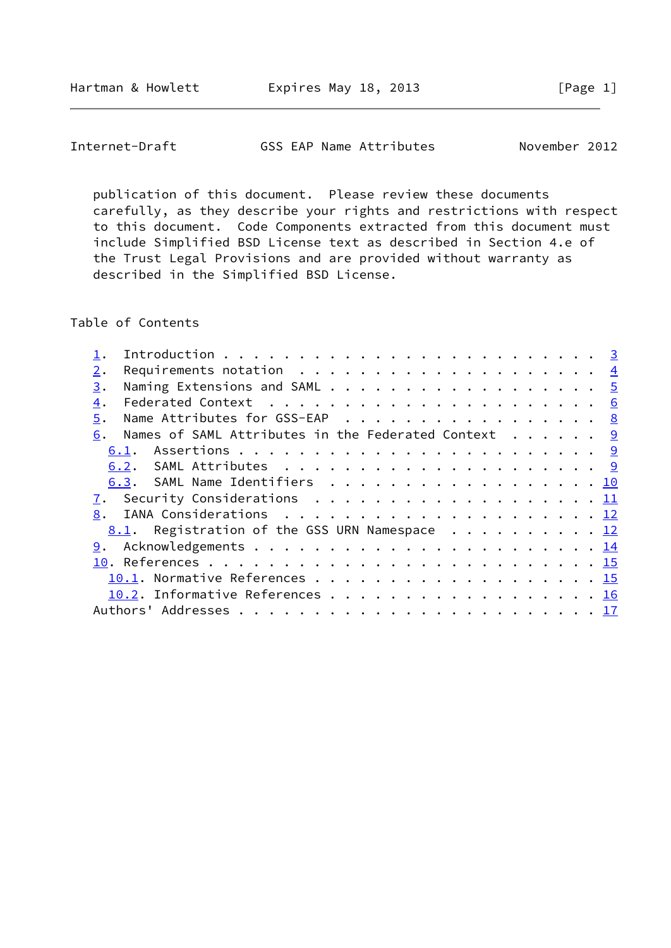Internet-Draft GSS EAP Name Attributes November 2012

 publication of this document. Please review these documents carefully, as they describe your rights and restrictions with respect to this document. Code Components extracted from this document must include Simplified BSD License text as described in Section 4.e of the Trust Legal Provisions and are provided without warranty as described in the Simplified BSD License.

Table of Contents

| 2. |                                                                |  |
|----|----------------------------------------------------------------|--|
| 3. |                                                                |  |
| 4. |                                                                |  |
| 5. | Name Attributes for GSS-EAP 8                                  |  |
| 6. | Names of SAML Attributes in the Federated Context 9            |  |
|    |                                                                |  |
|    |                                                                |  |
|    | 6.3. SAML Name Identifiers 10                                  |  |
|    |                                                                |  |
|    |                                                                |  |
|    | <u>8.1</u> . Registration of the GSS URN Namespace $\cdots$ 12 |  |
| 9. |                                                                |  |
|    |                                                                |  |
|    | 10.1. Normative References 15                                  |  |
|    | 10.2. Informative References 16                                |  |
|    |                                                                |  |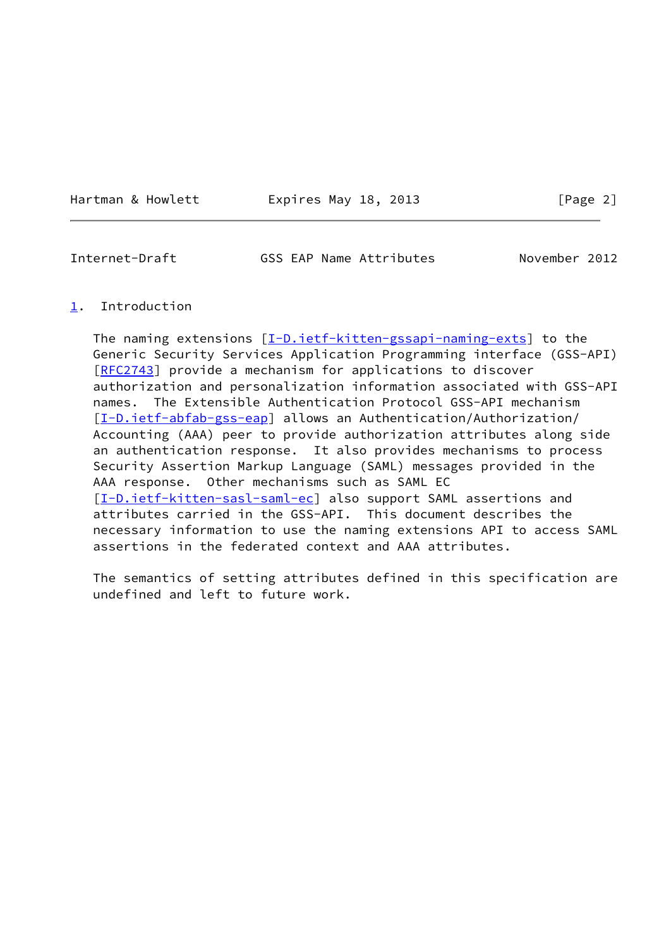Hartman & Howlett **Expires May 18, 2013** [Page 2]

<span id="page-2-1"></span>Internet-Draft GSS EAP Name Attributes November 2012

### <span id="page-2-0"></span>[1](#page-2-0). Introduction

The naming extensions [[I-D.ietf-kitten-gssapi-naming-exts\]](#page-16-0) to the Generic Security Services Application Programming interface (GSS-API) [\[RFC2743](https://datatracker.ietf.org/doc/pdf/rfc2743)] provide a mechanism for applications to discover authorization and personalization information associated with GSS-API names. The Extensible Authentication Protocol GSS-API mechanism [\[I-D.ietf-abfab-gss-eap](#page-16-1)] allows an Authentication/Authorization/ Accounting (AAA) peer to provide authorization attributes along side an authentication response. It also provides mechanisms to process Security Assertion Markup Language (SAML) messages provided in the AAA response. Other mechanisms such as SAML EC [\[I-D.ietf-kitten-sasl-saml-ec](#page-17-2)] also support SAML assertions and attributes carried in the GSS-API. This document describes the necessary information to use the naming extensions API to access SAML assertions in the federated context and AAA attributes.

 The semantics of setting attributes defined in this specification are undefined and left to future work.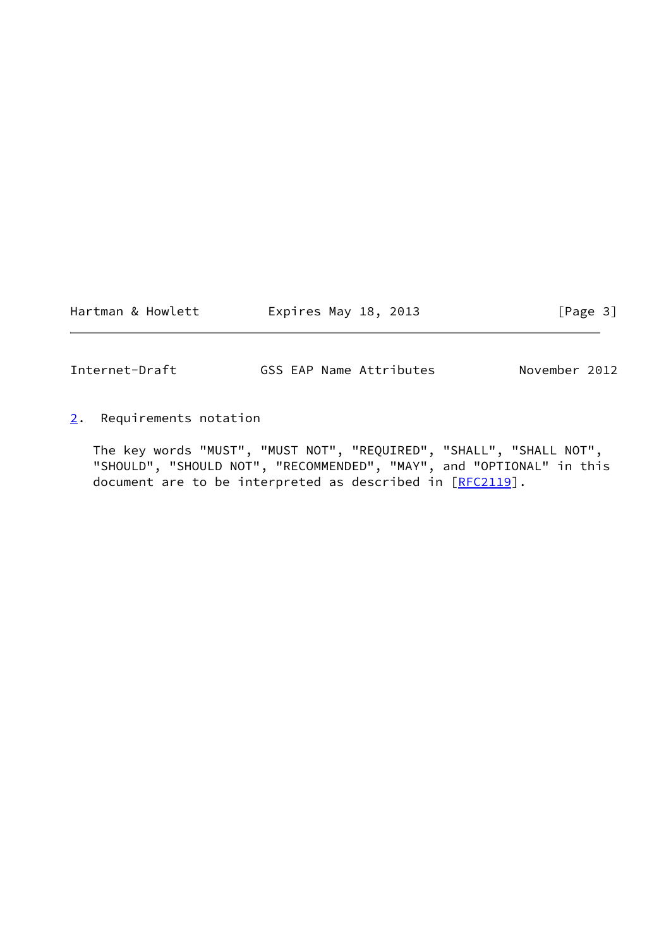Hartman & Howlett **Expires May 18, 2013** [Page 3]

<span id="page-3-1"></span>

Internet-Draft GSS EAP Name Attributes November 2012

<span id="page-3-0"></span>[2](#page-3-0). Requirements notation

 The key words "MUST", "MUST NOT", "REQUIRED", "SHALL", "SHALL NOT", "SHOULD", "SHOULD NOT", "RECOMMENDED", "MAY", and "OPTIONAL" in this document are to be interpreted as described in [\[RFC2119](https://datatracker.ietf.org/doc/pdf/rfc2119)].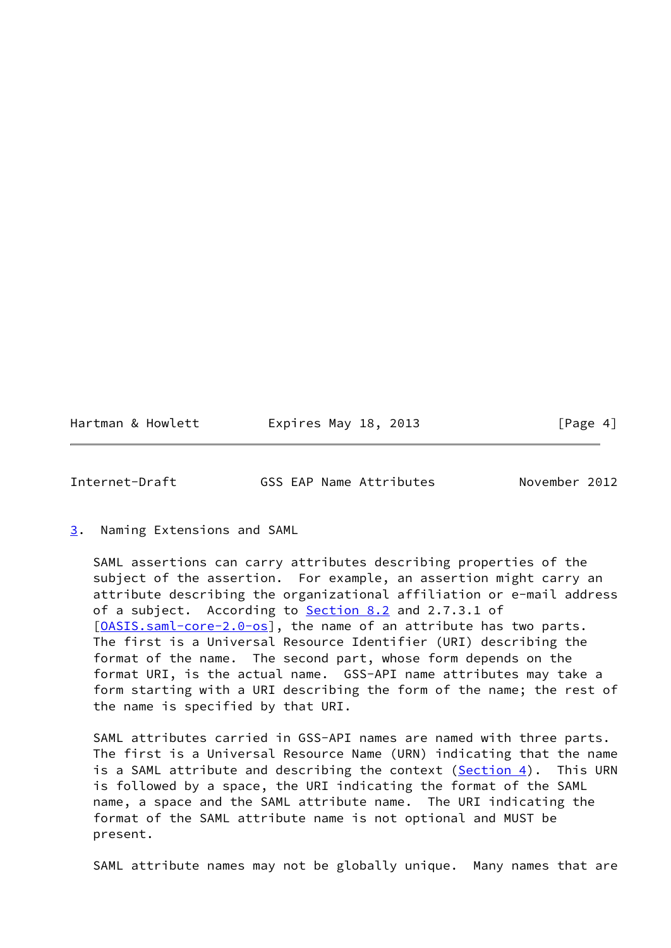Hartman & Howlett **Expires May 18, 2013** [Page 4]

<span id="page-4-1"></span>Internet-Draft GSS EAP Name Attributes November 2012

<span id="page-4-0"></span>[3](#page-4-0). Naming Extensions and SAML

 SAML assertions can carry attributes describing properties of the subject of the assertion. For example, an assertion might carry an attribute describing the organizational affiliation or e-mail address of a subject. According to **Section 8.2** and 2.7.3.1 of [\[OASIS.saml-core-2.0-os](#page-16-2)], the name of an attribute has two parts. The first is a Universal Resource Identifier (URI) describing the format of the name. The second part, whose form depends on the format URI, is the actual name. GSS-API name attributes may take a form starting with a URI describing the form of the name; the rest of the name is specified by that URI.

 SAML attributes carried in GSS-API names are named with three parts. The first is a Universal Resource Name (URN) indicating that the name is a SAML attribute and describing the context [\(Section 4](#page-5-0)). This URN is followed by a space, the URI indicating the format of the SAML name, a space and the SAML attribute name. The URI indicating the format of the SAML attribute name is not optional and MUST be present.

SAML attribute names may not be globally unique. Many names that are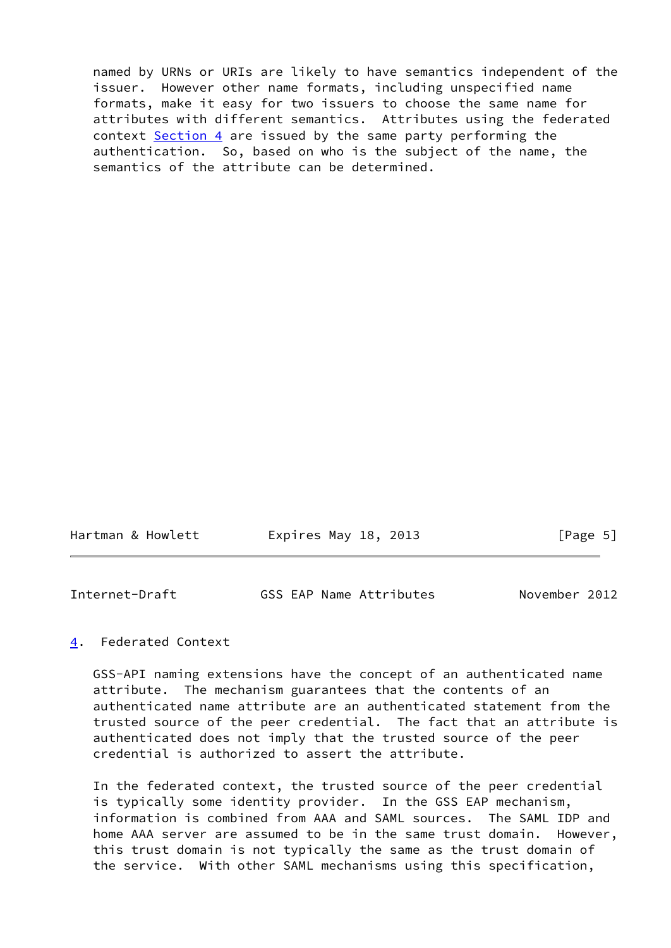named by URNs or URIs are likely to have semantics independent of the issuer. However other name formats, including unspecified name formats, make it easy for two issuers to choose the same name for attributes with different semantics. Attributes using the federated context [Section 4](#page-5-0) are issued by the same party performing the authentication. So, based on who is the subject of the name, the semantics of the attribute can be determined.

| Hartman & Howlett | Expires May 18, 2013 | [Page 5] |
|-------------------|----------------------|----------|
|                   |                      |          |

<span id="page-5-1"></span>

| November 2012<br>GSS EAP Name Attributes | Internet-Draft |  |  |  |  |
|------------------------------------------|----------------|--|--|--|--|
|------------------------------------------|----------------|--|--|--|--|

## <span id="page-5-0"></span>[4](#page-5-0). Federated Context

 GSS-API naming extensions have the concept of an authenticated name attribute. The mechanism guarantees that the contents of an authenticated name attribute are an authenticated statement from the trusted source of the peer credential. The fact that an attribute is authenticated does not imply that the trusted source of the peer credential is authorized to assert the attribute.

 In the federated context, the trusted source of the peer credential is typically some identity provider. In the GSS EAP mechanism, information is combined from AAA and SAML sources. The SAML IDP and home AAA server are assumed to be in the same trust domain. However, this trust domain is not typically the same as the trust domain of the service. With other SAML mechanisms using this specification,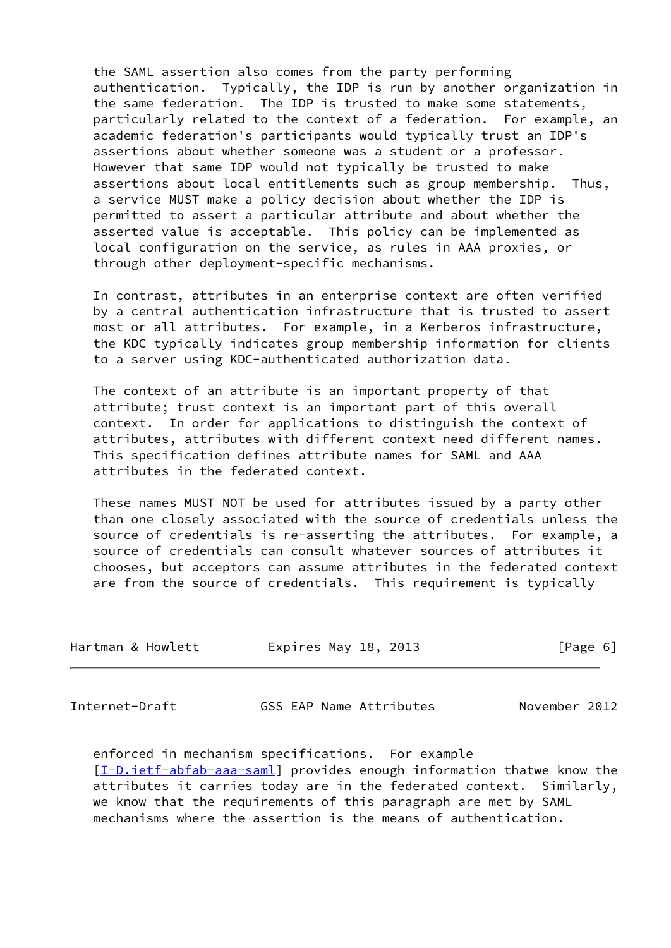the SAML assertion also comes from the party performing authentication. Typically, the IDP is run by another organization in the same federation. The IDP is trusted to make some statements, particularly related to the context of a federation. For example, an academic federation's participants would typically trust an IDP's assertions about whether someone was a student or a professor. However that same IDP would not typically be trusted to make assertions about local entitlements such as group membership. Thus, a service MUST make a policy decision about whether the IDP is permitted to assert a particular attribute and about whether the asserted value is acceptable. This policy can be implemented as local configuration on the service, as rules in AAA proxies, or through other deployment-specific mechanisms.

 In contrast, attributes in an enterprise context are often verified by a central authentication infrastructure that is trusted to assert most or all attributes. For example, in a Kerberos infrastructure, the KDC typically indicates group membership information for clients to a server using KDC-authenticated authorization data.

 The context of an attribute is an important property of that attribute; trust context is an important part of this overall context. In order for applications to distinguish the context of attributes, attributes with different context need different names. This specification defines attribute names for SAML and AAA attributes in the federated context.

 These names MUST NOT be used for attributes issued by a party other than one closely associated with the source of credentials unless the source of credentials is re-asserting the attributes. For example, a source of credentials can consult whatever sources of attributes it chooses, but acceptors can assume attributes in the federated context are from the source of credentials. This requirement is typically

| Hartman & Howlett | Expires May 18, 2013 | [Page 6] |
|-------------------|----------------------|----------|
|                   |                      |          |

Internet-Draft GSS EAP Name Attributes November 2012

 enforced in mechanism specifications. For example [\[I-D.ietf-abfab-aaa-saml](#page-17-3)] provides enough information thatwe know the attributes it carries today are in the federated context. Similarly, we know that the requirements of this paragraph are met by SAML mechanisms where the assertion is the means of authentication.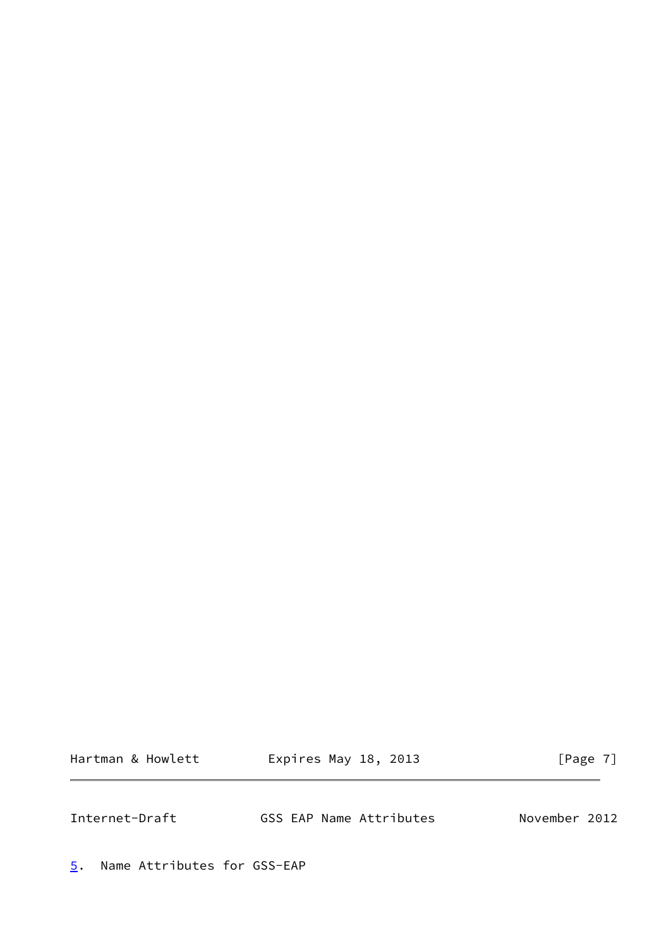Hartman & Howlett **Expires May 18, 2013** [Page 7]

<span id="page-7-1"></span>Internet-Draft GSS EAP Name Attributes November 2012

<span id="page-7-0"></span>[5](#page-7-0). Name Attributes for GSS-EAP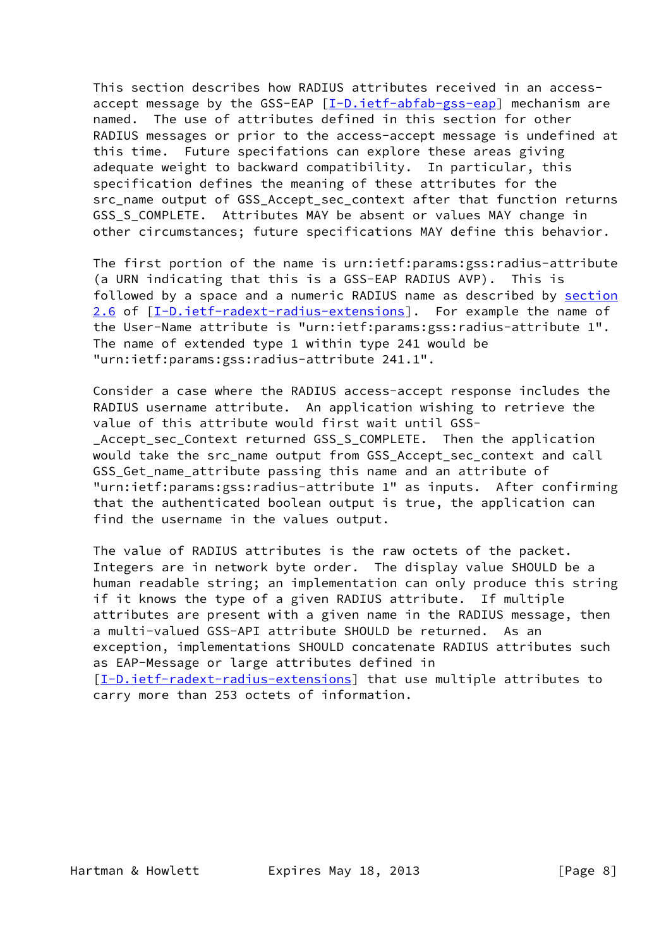This section describes how RADIUS attributes received in an access accept message by the GSS-EAP [[I-D.ietf-abfab-gss-eap](#page-16-1)] mechanism are named. The use of attributes defined in this section for other RADIUS messages or prior to the access-accept message is undefined at this time. Future specifations can explore these areas giving adequate weight to backward compatibility. In particular, this specification defines the meaning of these attributes for the src\_name output of GSS\_Accept\_sec\_context after that function returns GSS S COMPLETE. Attributes MAY be absent or values MAY change in other circumstances; future specifications MAY define this behavior.

 The first portion of the name is urn:ietf:params:gss:radius-attribute (a URN indicating that this is a GSS-EAP RADIUS AVP). This is followed by a space and a numeric RADIUS name as described by section 2.6 of [\[I-D.ietf-radext-radius-extensions](#page-16-3)]. For example the name of the User-Name attribute is "urn:ietf:params:gss:radius-attribute 1". The name of extended type 1 within type 241 would be "urn:ietf:params:gss:radius-attribute 241.1".

 Consider a case where the RADIUS access-accept response includes the RADIUS username attribute. An application wishing to retrieve the value of this attribute would first wait until GSS- \_Accept\_sec\_Context returned GSS\_S\_COMPLETE. Then the application would take the src\_name output from GSS\_Accept\_sec\_context and call GSS\_Get\_name\_attribute passing this name and an attribute of "urn:ietf:params:gss:radius-attribute 1" as inputs. After confirming that the authenticated boolean output is true, the application can find the username in the values output.

 The value of RADIUS attributes is the raw octets of the packet. Integers are in network byte order. The display value SHOULD be a human readable string; an implementation can only produce this string if it knows the type of a given RADIUS attribute. If multiple attributes are present with a given name in the RADIUS message, then a multi-valued GSS-API attribute SHOULD be returned. As an exception, implementations SHOULD concatenate RADIUS attributes such as EAP-Message or large attributes defined in [\[I-D.ietf-radext-radius-extensions](#page-16-3)] that use multiple attributes to carry more than 253 octets of information.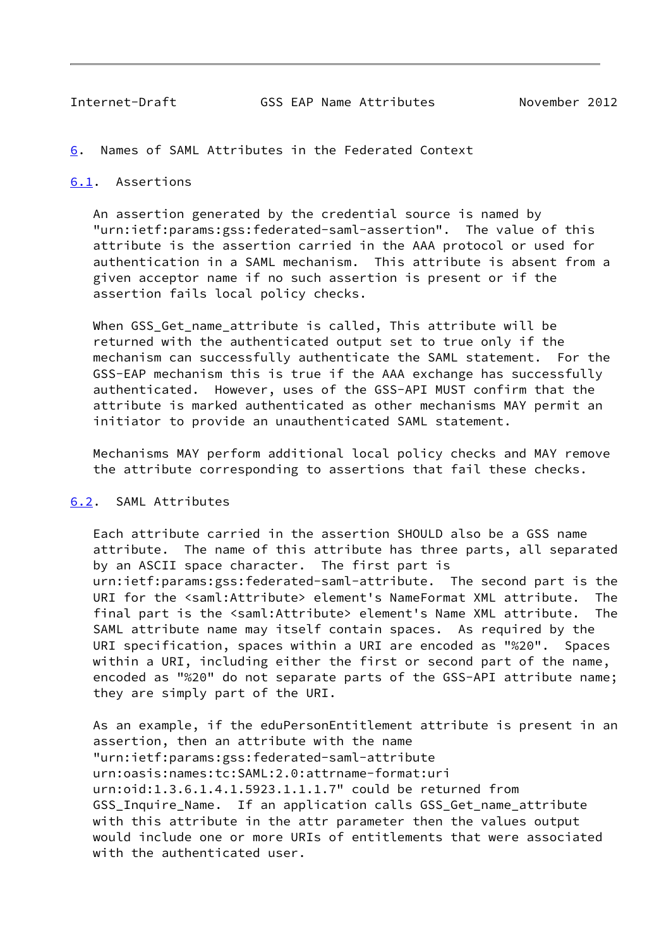<span id="page-9-1"></span><span id="page-9-0"></span>[6](#page-9-0). Names of SAML Attributes in the Federated Context

# <span id="page-9-2"></span>[6.1](#page-9-2). Assertions

 An assertion generated by the credential source is named by "urn:ietf:params:gss:federated-saml-assertion". The value of this attribute is the assertion carried in the AAA protocol or used for authentication in a SAML mechanism. This attribute is absent from a given acceptor name if no such assertion is present or if the assertion fails local policy checks.

 When GSS\_Get\_name\_attribute is called, This attribute will be returned with the authenticated output set to true only if the mechanism can successfully authenticate the SAML statement. For the GSS-EAP mechanism this is true if the AAA exchange has successfully authenticated. However, uses of the GSS-API MUST confirm that the attribute is marked authenticated as other mechanisms MAY permit an initiator to provide an unauthenticated SAML statement.

 Mechanisms MAY perform additional local policy checks and MAY remove the attribute corresponding to assertions that fail these checks.

#### <span id="page-9-3"></span>[6.2](#page-9-3). SAML Attributes

 Each attribute carried in the assertion SHOULD also be a GSS name attribute. The name of this attribute has three parts, all separated by an ASCII space character. The first part is urn:ietf:params:gss:federated-saml-attribute. The second part is the URI for the <saml:Attribute> element's NameFormat XML attribute. The final part is the <saml:Attribute> element's Name XML attribute. The SAML attribute name may itself contain spaces. As required by the URI specification, spaces within a URI are encoded as "%20". Spaces within a URI, including either the first or second part of the name, encoded as "%20" do not separate parts of the GSS-API attribute name; they are simply part of the URI.

 As an example, if the eduPersonEntitlement attribute is present in an assertion, then an attribute with the name "urn:ietf:params:gss:federated-saml-attribute urn:oasis:names:tc:SAML:2.0:attrname-format:uri urn:oid:1.3.6.1.4.1.5923.1.1.1.7" could be returned from GSS\_Inquire\_Name. If an application calls GSS\_Get\_name\_attribute with this attribute in the attr parameter then the values output would include one or more URIs of entitlements that were associated with the authenticated user.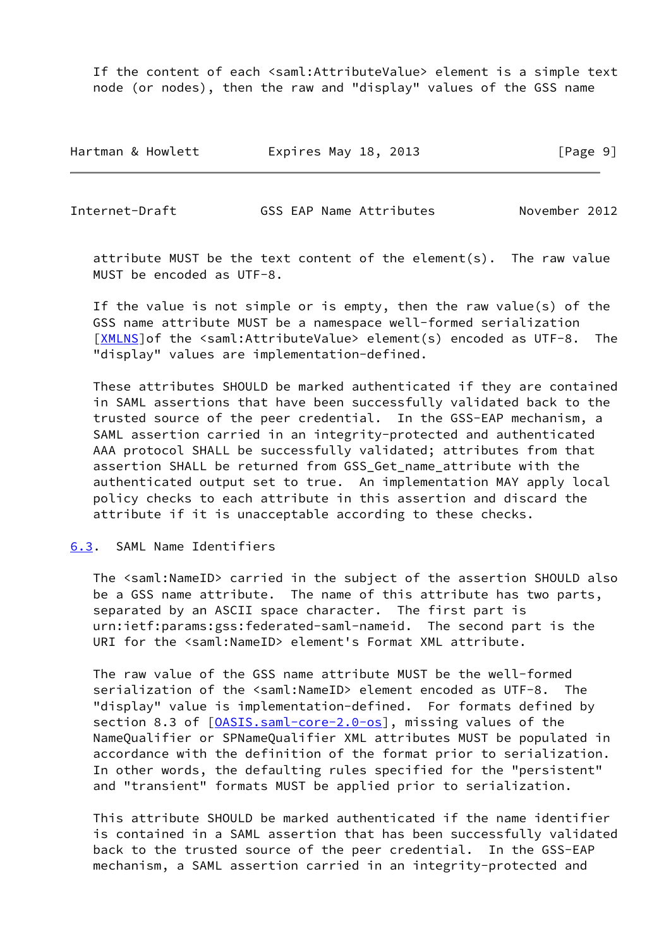If the content of each <saml:AttributeValue> element is a simple text node (or nodes), then the raw and "display" values of the GSS name

| Hartman & Howlett | Expires May 18, 2013 | [Page 9] |
|-------------------|----------------------|----------|
|-------------------|----------------------|----------|

<span id="page-10-1"></span>Internet-Draft GSS EAP Name Attributes November 2012

 attribute MUST be the text content of the element(s). The raw value MUST be encoded as UTF-8.

 If the value is not simple or is empty, then the raw value(s) of the GSS name attribute MUST be a namespace well-formed serialization [\[XMLNS](#page-16-4)]of the <saml:AttributeValue> element(s) encoded as UTF-8. The "display" values are implementation-defined.

 These attributes SHOULD be marked authenticated if they are contained in SAML assertions that have been successfully validated back to the trusted source of the peer credential. In the GSS-EAP mechanism, a SAML assertion carried in an integrity-protected and authenticated AAA protocol SHALL be successfully validated; attributes from that assertion SHALL be returned from GSS\_Get\_name\_attribute with the authenticated output set to true. An implementation MAY apply local policy checks to each attribute in this assertion and discard the attribute if it is unacceptable according to these checks.

<span id="page-10-0"></span>[6.3](#page-10-0). SAML Name Identifiers

 The <saml:NameID> carried in the subject of the assertion SHOULD also be a GSS name attribute. The name of this attribute has two parts, separated by an ASCII space character. The first part is urn:ietf:params:gss:federated-saml-nameid. The second part is the URI for the <saml:NameID> element's Format XML attribute.

 The raw value of the GSS name attribute MUST be the well-formed serialization of the <saml:NameID> element encoded as UTF-8. The "display" value is implementation-defined. For formats defined by section 8.3 of  $[0ASIS.saml-core-2.0-os]$ , missing values of the NameQualifier or SPNameQualifier XML attributes MUST be populated in accordance with the definition of the format prior to serialization. In other words, the defaulting rules specified for the "persistent" and "transient" formats MUST be applied prior to serialization.

 This attribute SHOULD be marked authenticated if the name identifier is contained in a SAML assertion that has been successfully validated back to the trusted source of the peer credential. In the GSS-EAP mechanism, a SAML assertion carried in an integrity-protected and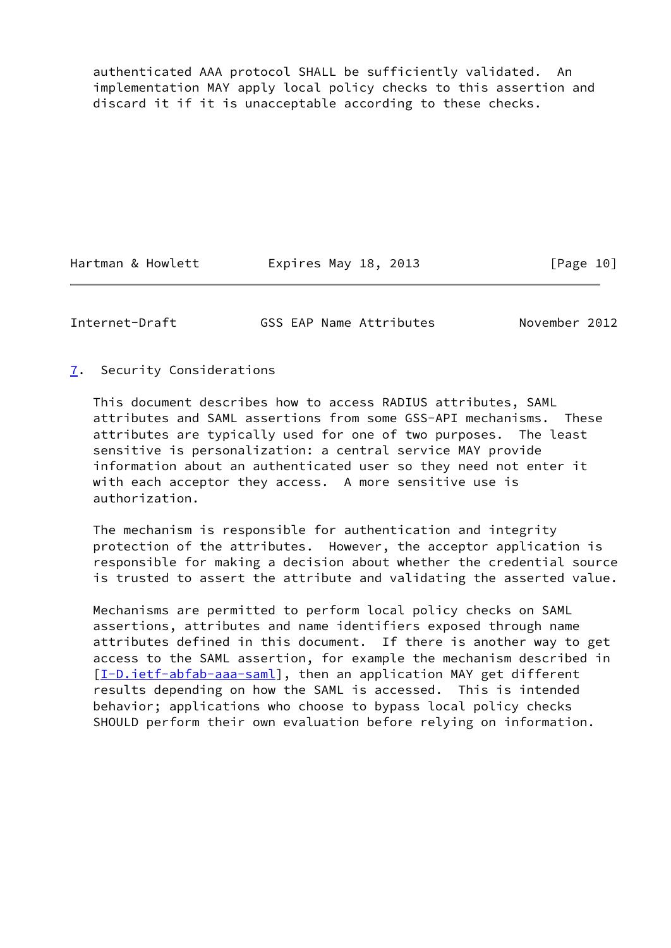authenticated AAA protocol SHALL be sufficiently validated. An implementation MAY apply local policy checks to this assertion and discard it if it is unacceptable according to these checks.

Hartman & Howlett **Expires May 18, 2013** [Page 10]

<span id="page-11-1"></span>Internet-Draft GSS EAP Name Attributes November 2012

# <span id="page-11-0"></span>[7](#page-11-0). Security Considerations

 This document describes how to access RADIUS attributes, SAML attributes and SAML assertions from some GSS-API mechanisms. These attributes are typically used for one of two purposes. The least sensitive is personalization: a central service MAY provide information about an authenticated user so they need not enter it with each acceptor they access. A more sensitive use is authorization.

 The mechanism is responsible for authentication and integrity protection of the attributes. However, the acceptor application is responsible for making a decision about whether the credential source is trusted to assert the attribute and validating the asserted value.

 Mechanisms are permitted to perform local policy checks on SAML assertions, attributes and name identifiers exposed through name attributes defined in this document. If there is another way to get access to the SAML assertion, for example the mechanism described in [\[I-D.ietf-abfab-aaa-saml](#page-17-3)], then an application MAY get different results depending on how the SAML is accessed. This is intended behavior; applications who choose to bypass local policy checks SHOULD perform their own evaluation before relying on information.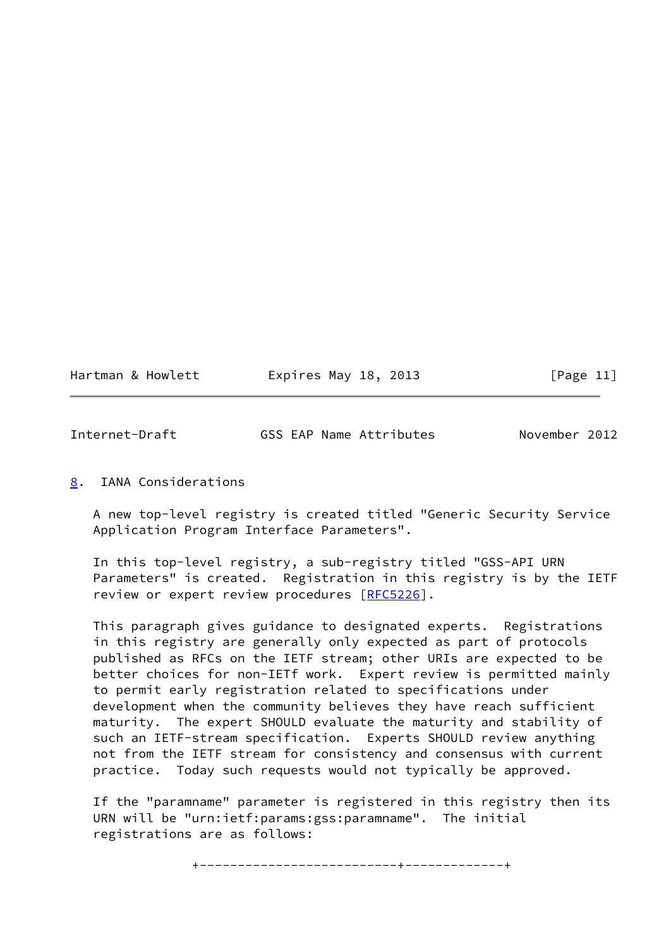Hartman & Howlett **Expires May 18, 2013** [Page 11]

<span id="page-12-1"></span>Internet-Draft GSS EAP Name Attributes November 2012

## <span id="page-12-0"></span>[8](#page-12-0). IANA Considerations

 A new top-level registry is created titled "Generic Security Service Application Program Interface Parameters".

 In this top-level registry, a sub-registry titled "GSS-API URN Parameters" is created. Registration in this registry is by the IETF review or expert review procedures [[RFC5226\]](https://datatracker.ietf.org/doc/pdf/rfc5226).

 This paragraph gives guidance to designated experts. Registrations in this registry are generally only expected as part of protocols published as RFCs on the IETF stream; other URIs are expected to be better choices for non-IETf work. Expert review is permitted mainly to permit early registration related to specifications under development when the community believes they have reach sufficient maturity. The expert SHOULD evaluate the maturity and stability of such an IETF-stream specification. Experts SHOULD review anything not from the IETF stream for consistency and consensus with current practice. Today such requests would not typically be approved.

 If the "paramname" parameter is registered in this registry then its URN will be "urn:ietf:params:gss:paramname". The initial registrations are as follows: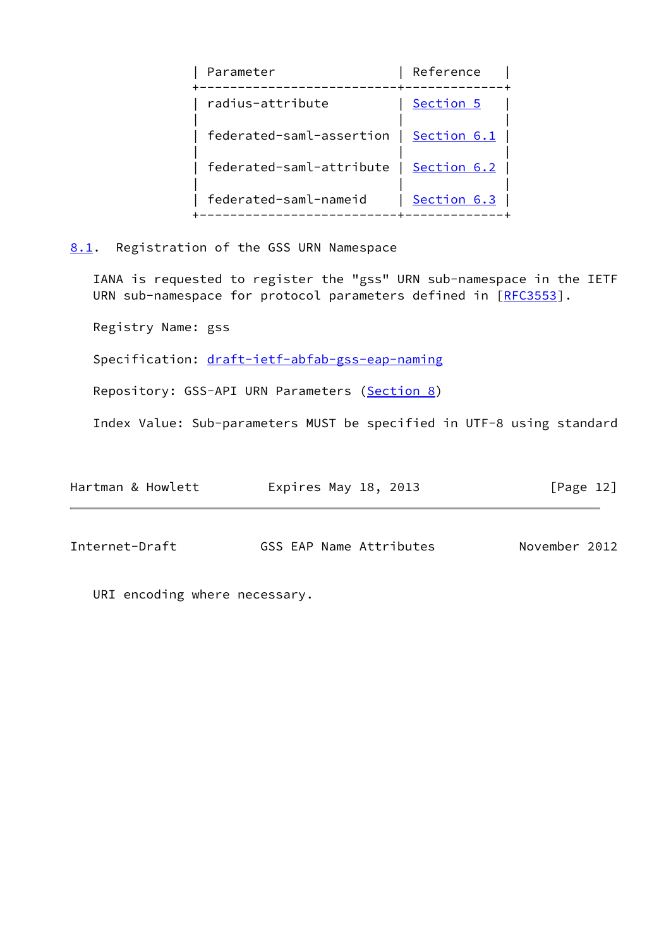| Parameter                | Reference   |
|--------------------------|-------------|
| radius-attribute         | Section 5   |
| federated-saml-assertion | Section 6.1 |
| federated-saml-attribute | Section 6.2 |
| federated-saml-nameid    | Section 6.3 |
|                          |             |

<span id="page-13-0"></span>[8.1](#page-13-0). Registration of the GSS URN Namespace

 IANA is requested to register the "gss" URN sub-namespace in the IETF URN sub-namespace for protocol parameters defined in [\[RFC3553](https://datatracker.ietf.org/doc/pdf/rfc3553)].

Registry Name: gss

Specification: [draft-ietf-abfab-gss-eap-naming](https://datatracker.ietf.org/doc/pdf/draft-ietf-abfab-gss-eap-naming)

Repository: GSS-API URN Parameters ([Section 8\)](#page-12-0)

Index Value: Sub-parameters MUST be specified in UTF-8 using standard

| Hartman & Howlett | Expires May 18, 2013    | $\lceil \text{Page 12} \rceil$ |
|-------------------|-------------------------|--------------------------------|
|                   |                         |                                |
| Internet-Draft    | GSS EAP Name Attributes | November 2012                  |

URI encoding where necessary.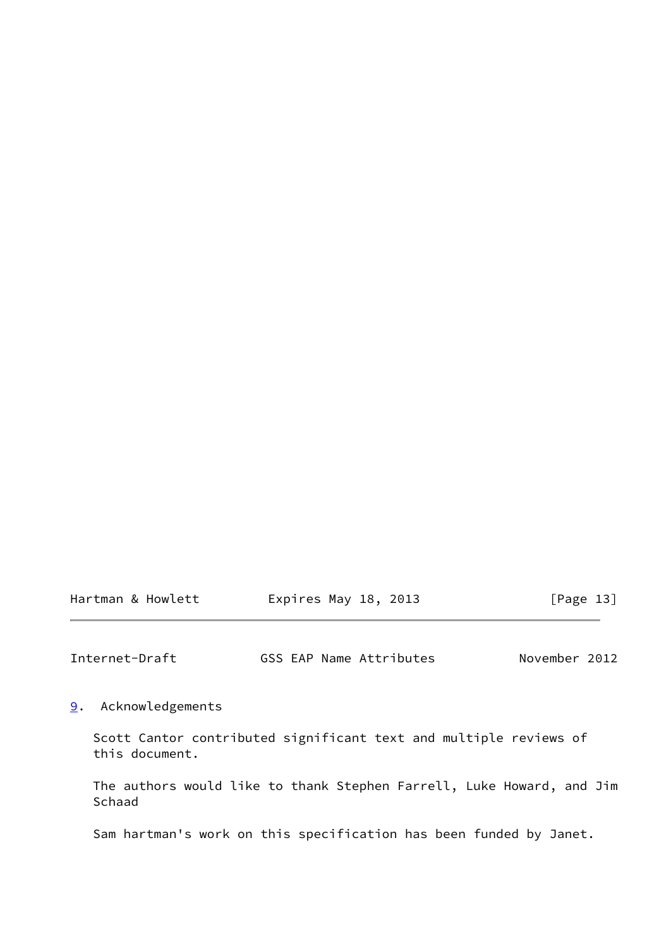| Hartman & Howlett | Expires May 18, 2013 | [Page 13] |
|-------------------|----------------------|-----------|
|-------------------|----------------------|-----------|

<span id="page-14-1"></span>Internet-Draft GSS EAP Name Attributes November 2012

<span id="page-14-0"></span>[9](#page-14-0). Acknowledgements

 Scott Cantor contributed significant text and multiple reviews of this document.

 The authors would like to thank Stephen Farrell, Luke Howard, and Jim Schaad

Sam hartman's work on this specification has been funded by Janet.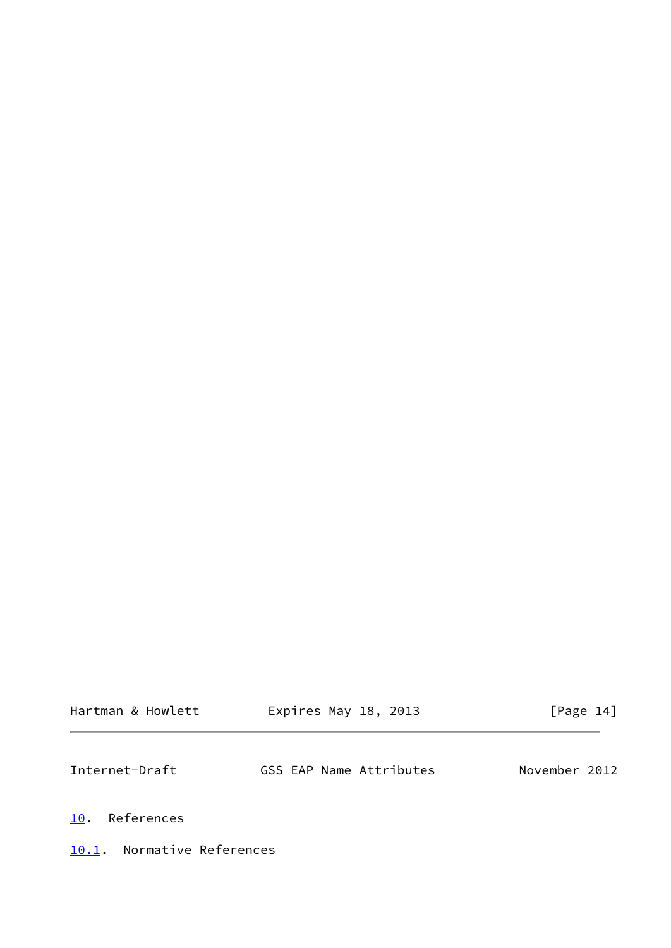<span id="page-15-2"></span><span id="page-15-1"></span><span id="page-15-0"></span>

| Hartman & Howlett             | Expires May 18, 2013    | [Page 14]     |
|-------------------------------|-------------------------|---------------|
| Internet-Draft                | GSS EAP Name Attributes | November 2012 |
| References<br>10.             |                         |               |
| Normative References<br>10.1. |                         |               |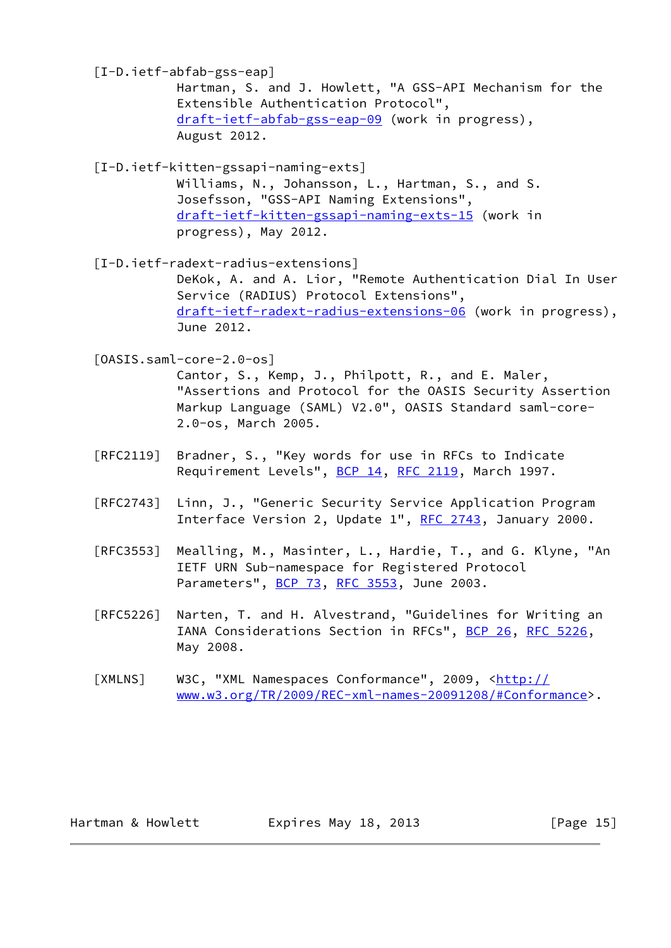<span id="page-16-1"></span> [I-D.ietf-abfab-gss-eap] Hartman, S. and J. Howlett, "A GSS-API Mechanism for the Extensible Authentication Protocol", [draft-ietf-abfab-gss-eap-09](https://datatracker.ietf.org/doc/pdf/draft-ietf-abfab-gss-eap-09) (work in progress), August 2012.

<span id="page-16-0"></span> [I-D.ietf-kitten-gssapi-naming-exts] Williams, N., Johansson, L., Hartman, S., and S. Josefsson, "GSS-API Naming Extensions", [draft-ietf-kitten-gssapi-naming-exts-15](https://datatracker.ietf.org/doc/pdf/draft-ietf-kitten-gssapi-naming-exts-15) (work in progress), May 2012.

<span id="page-16-3"></span> [I-D.ietf-radext-radius-extensions] DeKok, A. and A. Lior, "Remote Authentication Dial In User Service (RADIUS) Protocol Extensions", [draft-ietf-radext-radius-extensions-06](https://datatracker.ietf.org/doc/pdf/draft-ietf-radext-radius-extensions-06) (work in progress), June 2012.

<span id="page-16-2"></span>[OASIS.saml-core-2.0-os]

 Cantor, S., Kemp, J., Philpott, R., and E. Maler, "Assertions and Protocol for the OASIS Security Assertion Markup Language (SAML) V2.0", OASIS Standard saml-core- 2.0-os, March 2005.

- [RFC2119] Bradner, S., "Key words for use in RFCs to Indicate Requirement Levels", [BCP 14](https://datatracker.ietf.org/doc/pdf/bcp14), [RFC 2119](https://datatracker.ietf.org/doc/pdf/rfc2119), March 1997.
- [RFC2743] Linn, J., "Generic Security Service Application Program Interface Version 2, Update 1", [RFC 2743,](https://datatracker.ietf.org/doc/pdf/rfc2743) January 2000.
- [RFC3553] Mealling, M., Masinter, L., Hardie, T., and G. Klyne, "An IETF URN Sub-namespace for Registered Protocol Parameters", [BCP 73](https://datatracker.ietf.org/doc/pdf/bcp73), [RFC 3553](https://datatracker.ietf.org/doc/pdf/rfc3553), June 2003.
- [RFC5226] Narten, T. and H. Alvestrand, "Guidelines for Writing an IANA Considerations Section in RFCs", [BCP 26](https://datatracker.ietf.org/doc/pdf/bcp26), [RFC 5226](https://datatracker.ietf.org/doc/pdf/rfc5226), May 2008.
- <span id="page-16-4"></span>[XMLNS] W3C, "XML Namespaces Conformance", 2009, [<http://](http://www.w3.org/TR/2009/REC-xml-names-20091208/#Conformance) [www.w3.org/TR/2009/REC-xml-names-20091208/#Conformance](http://www.w3.org/TR/2009/REC-xml-names-20091208/#Conformance)>.

| Hartman & Howlett | Expires May 18, 2013 | [Page 15] |
|-------------------|----------------------|-----------|
|-------------------|----------------------|-----------|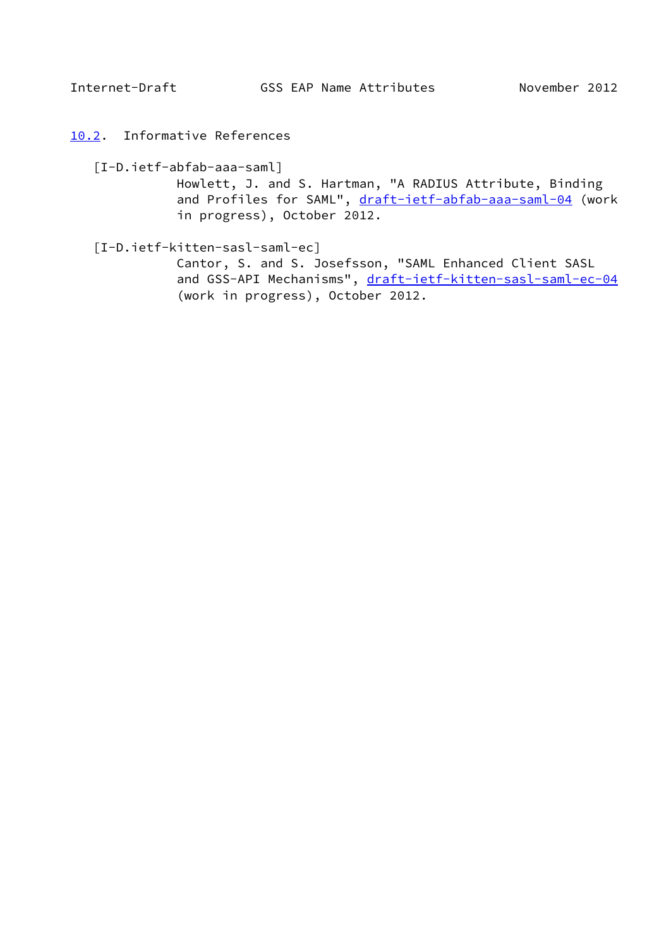<span id="page-17-1"></span><span id="page-17-0"></span>[10.2](#page-17-0). Informative References

<span id="page-17-3"></span>[I-D.ietf-abfab-aaa-saml]

 Howlett, J. and S. Hartman, "A RADIUS Attribute, Binding and Profiles for SAML", [draft-ietf-abfab-aaa-saml-04](https://datatracker.ietf.org/doc/pdf/draft-ietf-abfab-aaa-saml-04) (work in progress), October 2012.

<span id="page-17-2"></span>[I-D.ietf-kitten-sasl-saml-ec]

 Cantor, S. and S. Josefsson, "SAML Enhanced Client SASL and GSS-API Mechanisms", [draft-ietf-kitten-sasl-saml-ec-04](https://datatracker.ietf.org/doc/pdf/draft-ietf-kitten-sasl-saml-ec-04) (work in progress), October 2012.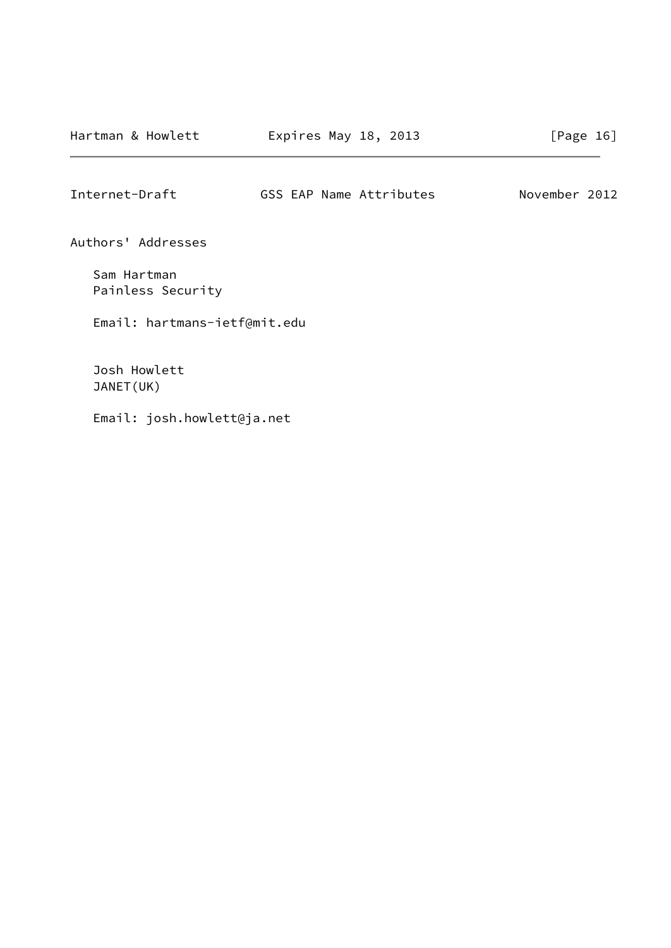<span id="page-18-0"></span>Internet-Draft GSS EAP Name Attributes November 2012

Authors' Addresses

 Sam Hartman Painless Security

Email: hartmans-ietf@mit.edu

 Josh Howlett JANET(UK)

Email: josh.howlett@ja.net